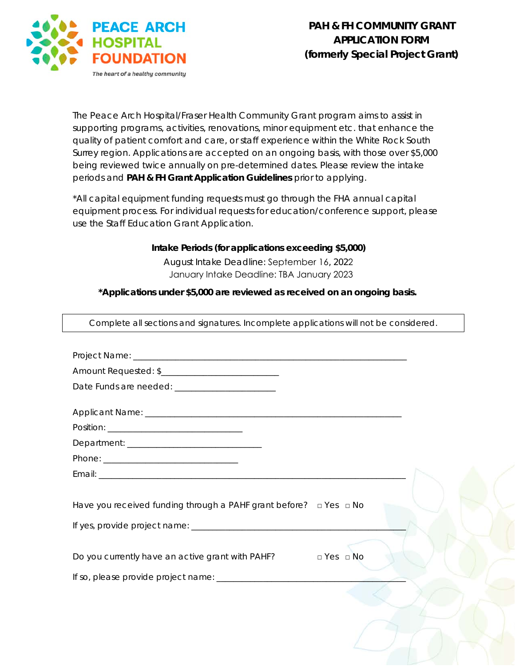

The Peace Arch Hospital/Fraser Health Community Grant program aims to assist in supporting programs, activities, renovations, minor equipment etc. that enhance the quality of patient comfort and care, or staff experience within the White Rock South Surrey region. Applications are accepted on an ongoing basis, with those over \$5,000 being reviewed twice annually on pre-determined dates. Please review the intake periods and **PAH & FH Grant Application Guidelines** prior to applying.

\*All capital equipment funding requests must go through the FHA annual capital equipment process. For individual requests for education/conference support, please use the Staff Education Grant Application.

# **Intake Periods (for applications exceeding \$5,000)**

August Intake Deadline: September 16, 2022 January Intake Deadline: TBA January 2023

## *\*Applications under \$5,000 are reviewed as received on an ongoing basis.*

Complete all sections and signatures. Incomplete applications will not be considered.

| Date Funds are needed: ____________________________                         |  |
|-----------------------------------------------------------------------------|--|
|                                                                             |  |
|                                                                             |  |
|                                                                             |  |
|                                                                             |  |
|                                                                             |  |
|                                                                             |  |
| Have you received funding through a PAHF grant before? $\Box$ Yes $\Box$ No |  |
|                                                                             |  |
|                                                                             |  |
| Do you currently have an active grant with PAHF? $\Box$ Yes $\Box$ No       |  |
|                                                                             |  |
|                                                                             |  |
|                                                                             |  |
|                                                                             |  |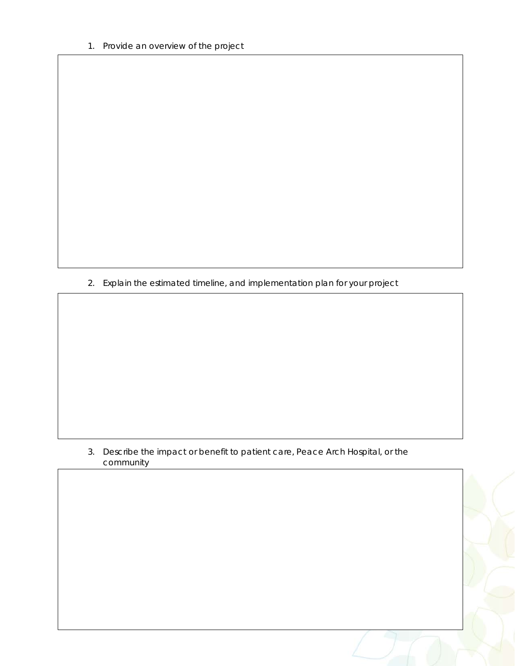2. Explain the estimated timeline, and implementation plan for your project

## 3. Describe the impact or benefit to patient care, Peace Arch Hospital, or the community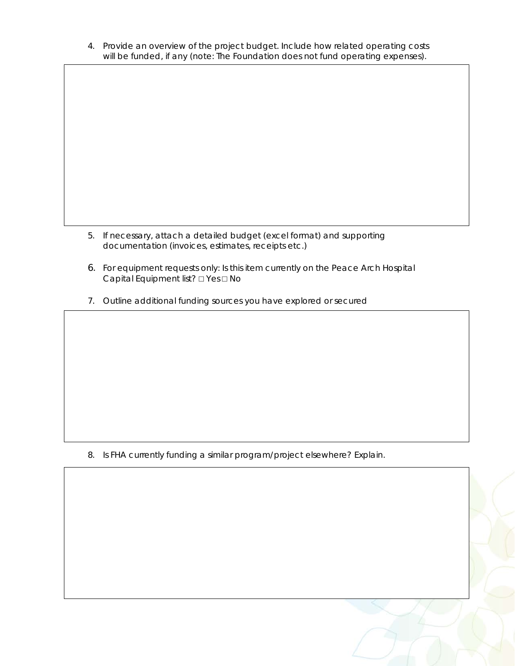4. Provide an overview of the project budget. Include how related operating costs will be funded, if any (note: The Foundation does not fund operating expenses).

- 5. If necessary, attach a detailed budget (excel format) and supporting documentation (invoices, estimates, receipts etc.)
- 6. *For equipment requests only*: Is this item currently on the Peace Arch Hospital Capital Equipment list? □ Yes □ No
- 7. Outline additional funding sources you have explored or secured

8. Is FHA currently funding a similar program/project elsewhere? Explain.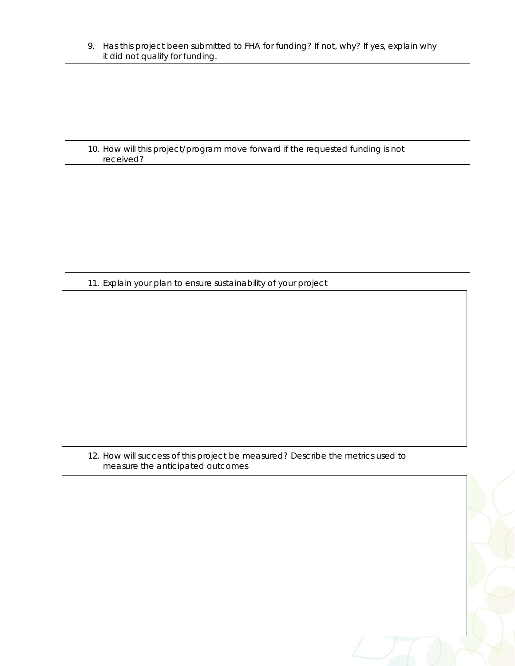9. Has this project been submitted to FHA for funding? If not, why? If yes, explain why it did not qualify for funding.

10. How will this project/program move forward if the requested funding is not received?

11. Explain your plan to ensure sustainability of your project

12. How will success of this project be measured? Describe the metrics used to measure the anticipated outcomes